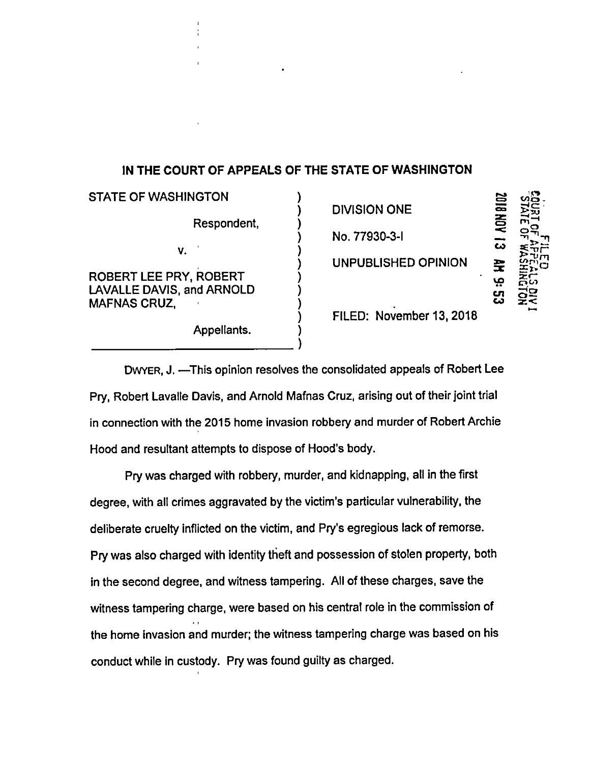## IN THE COURT OF APPEALS OF THE STATE OF WASHINGTON

 $\sum_{i=1}^{n}$  $\sum_{i=1}^{n}$  $\sum_{i=1}^{n}$ 

STATE OF WASHINGTON Respondent, v.  $\sqrt{2}$ ROBERT LEE PRY, ROBERT ) Zr-LAVALLE DAVIS, and ARNOLD **MAFNAS CRUZ.** 

Appellants. )

DIVISION ONE No. 77930-3-1

UNPUBLISHED OPINION  $\mathbf{E}$ 

ra. 55  $\approx$ rrl w  $\mathbf{P}[\mathbf{v}]$ יים<br>כ  $\frac{25}{25}$ က<br>က

) FILED: November 13, 2018

DWYER, J. —This opinion resolves the consolidated appeals of Robert Lee Pry, Robert Lavalle Davis, and Arnold Mafnas Cruz, arising out of their joint trial in connection with the 2015 home invasion robbery and murder of Robert Archie Hood and resultant attempts to dispose of Hood's body.

 $\hat{y}$ 

Pry was charged with robbery, murder, and kidnapping, all in the first degree, with all crimes aggravated by the victim's particular vulnerability, the deliberate cruelty inflicted on the victim, and Pry's egregious lack of remorse. Pry was also charged with identity theft and possession of stolen property, both in the second degree, and witness tampering. All of these charges, save the witness tampering charge, were based on his central role in the commission of the home invasion and murder; the witness tampering charge was based on his conduct while in custody. Pry was found guilty as charged.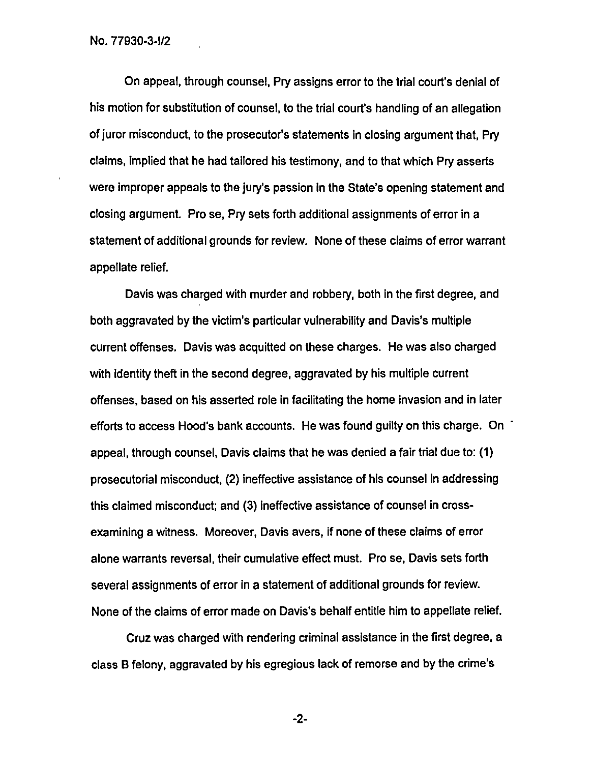On appeal, through counsel, Pry assigns error to the trial court's denial of his motion for substitution of counsel, to the trial court's handling of an allegation of juror misconduct, to the prosecutor's statements in closing argument that, Pry claims, implied that he had tailored his testimony, and to that which Pry asserts were improper appeals to the jury's passion in the State's opening statement and closing argument. Pro se, Pry sets forth additional assignments of error in a statement of additional grounds for review. None of these claims of error warrant appellate relief.

Davis was charged with murder and robbery, both in the first degree, and both aggravated by the victim's particular vulnerability and Davis's multiple current offenses. Davis was acquitted on these charges. He was also charged with identity theft in the second degree, aggravated by his multiple current offenses, based on his asserted role in facilitating the home invasion and in later efforts to access Hood's bank accounts. He was found guilty on this charge. On ' appeal, through counsel, Davis claims that he was denied a fair trial due to: (1) prosecutorial misconduct, (2) ineffective assistance of his counsel in addressing this claimed misconduct; and (3) ineffective assistance of counsel in crossexamining a witness. Moreover, Davis avers, if none of these claims of error alone warrants reversal, their cumulative effect must. Pro se, Davis sets forth several assignments of error in a statement of additional grounds for review. None of the claims of error made on Davis's behalf entitle him to appellate relief.

Cruz was charged with rendering criminal assistance in the first degree, a class B felony, aggravated by his egregious lack of remorse and by the crime's

-2-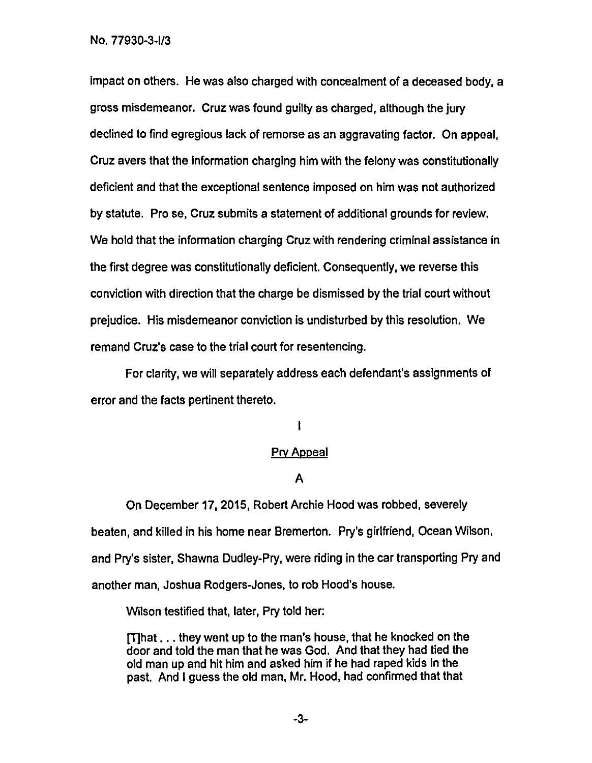impact on others. He was also charged with concealment of a deceased body, a gross misdemeanor. Cruz was found guilty as charged, although the jury declined to find egregious lack of remorse as an aggravating factor. On appeal, Cruz avers that the information charging him with the felony was constitutionally deficient and that the exceptional sentence imposed on him was not authorized by statute. Pro se, Cruz submits a statement of additional grounds for review. We hold that the information charging Cruz with rendering criminal assistance in the first degree was constitutionally deficient. Consequently, we reverse this conviction with direction that the charge be dismissed by the trial court without prejudice. His misdemeanor conviction is undisturbed by this resolution. We remand Cruz's case to the trial court for resentencing.

For clarity, we will separately address each defendant's assignments of error and the facts pertinent thereto.

I

### Pry Appeal

# A

On December 17,2015, Robert Archie Hood was robbed, severely beaten, and killed in his home near Bremerton. Pry's girlfriend, Ocean Wilson, and Pry's sister, Shawna Dudley-Pry, were riding in the car transporting Pry and another man, Joshua Rodgers-Jones, to rob Hood's house.

Wilson testified that, later, Pry told her:

Mhat ... they went up to the man's house, that he knocked on the door and told the man that he was God. And that they had tied the old man up and hit him and asked him if he had raped kids in the past. And I guess the old man, Mr. Hood, had confirmed that that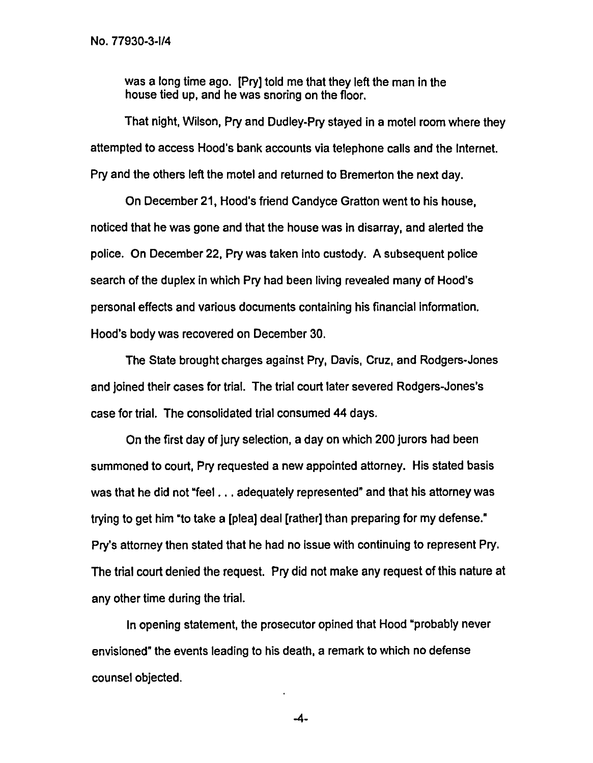was a long time ago. [Pry] told me that they left the man in the house tied up, and he was snoring on the floor.

That night, Wilson, Pry and Dudley-Pry stayed in a motel room where they attempted to access Hood's bank accounts via telephone calls and the Internet. Pry and the others left the motel and returned to Bremerton the next day.

On December 21, Hood's friend Candyce Gratton went to his house, noticed that he was gone and that the house was in disarray, and alerted the police. On December 22, Pry was taken into custody. A subsequent police search of the duplex in which Pry had been living revealed many of Hood's personal effects and various documents containing his financial information. Hood's body was recovered on December 30.

The State brought charges against Pry, Davis, Cruz, and Rodgers-Jones and joined their cases for trial. The trial court later severed Rodgers-Jones's case for trial. The consolidated trial consumed 44 days.

On the first day of jury selection, a day on which 200 jurors had been summoned to court, Pry requested a new appointed attorney. His stated basis was that he did not "feel ... adequately represented" and that his attorney was trying to get him "to take a [plea] deal [rather] than preparing for my defense." Pry's attorney then stated that he had no issue with continuing to represent Pry. The trial court denied the request. Pry did not make any request of this nature at any other time during the trial.

In opening statement, the prosecutor opined that Hood "probably never envisioned" the events leading to his death, a remark to which no defense counsel objected.

-4-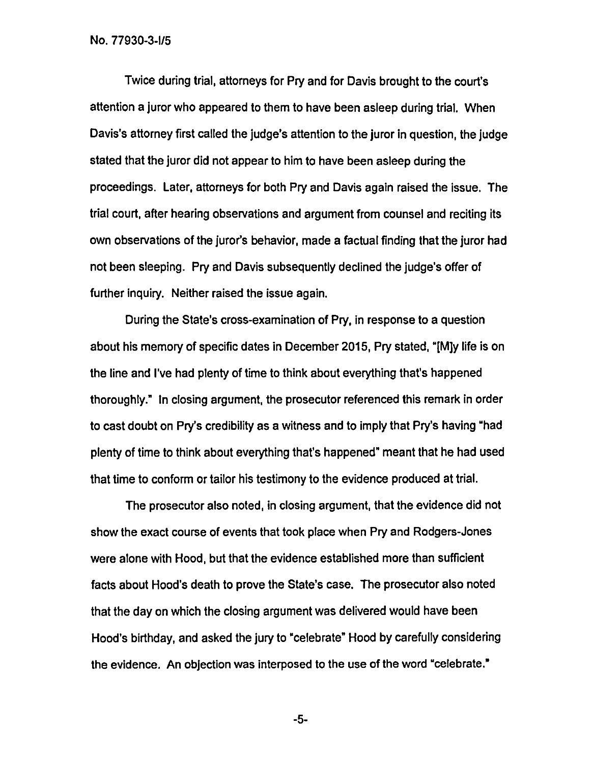Twice during trial, attorneys for Pry and for Davis brought to the court's attention a juror who appeared to them to have been asleep during trial. When Davis's attorney first called the judge's attention to the juror in question, the judge stated that the juror did not appear to him to have been asleep during the proceedings. Later, attorneys for both Pry and Davis again raised the issue. The trial court, after hearing observations and argument from counsel and reciting its own observations of the juror's behavior, made a factual finding that the juror had not been sleeping. Pry and Davis subsequently declined the judge's offer of further inquiry. Neither raised the issue again.

During the State's cross-examination of Pry, in response to a question about his memory of specific dates in December 2015, Pry stated, "[M]y life is on the line and I've had plenty of time to think about everything that's happened thoroughly." In closing argument, the prosecutor referenced this remark in order to cast doubt on Pry's credibility as a witness and to imply that Pry's having "had plenty of time to think about everything that's happened" meant that he had used that time to conform or tailor his testimony to the evidence produced at trial.

The prosecutor also noted, in closing argument, that the evidence did not show the exact course of events that took place when Pry and Rodgers-Jones were alone with Hood, but that the evidence established more than sufficient facts about Hood's death to prove the State's case. The prosecutor also noted that the day on which the closing argument was delivered would have been Hood's birthday, and asked the jury to "celebrate" Hood by carefully considering the evidence. An objection was interposed to the use of the word "celebrate."

-5-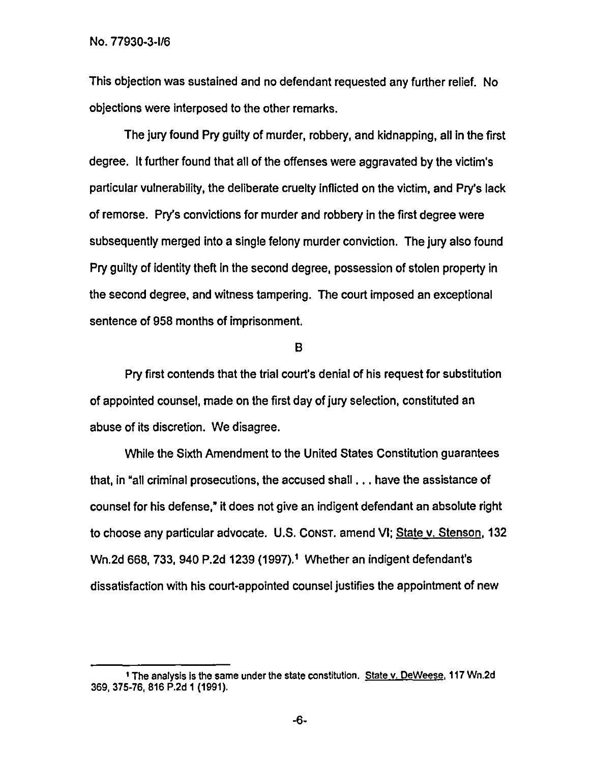This objection was sustained and no defendant requested any further relief. No objections were interposed to the other remarks.

The jury found Pry guilty of murder, robbery, and kidnapping, all in the first degree. It further found that all of the offenses were aggravated by the victim's particular vulnerability, the deliberate cruelty inflicted on the victim, and Pry's lack of remorse. Pry's convictions for murder and robbery in the first degree were subsequently merged into a single felony murder conviction. The jury also found Pry guilty of identity theft In the second degree, possession of stolen property in the second degree, and witness tampering. The court imposed an exceptional sentence of 958 months of imprisonment.

#### B

Pry first contends that the trial court's denial of his request for substitution of appointed counsel, made on the first day of jury selection, constituted an abuse of its discretion. We disagree.

While the Sixth Amendment to the United States Constitution guarantees that, in "all criminal prosecutions, the accused shall ... have the assistance of counsel for his defense," it does not give an indigent defendant an absolute right to choose any particular advocate. U.S. CONST. amend VI; State v. Stenson,132 Wn.2d 668, 733, 940 P.2d 1239 (1997).1 Whether an indigent defendant's dissatisfaction with his court-appointed counsel justifies the appointment of new

<sup>1</sup> The analysis is the same under the state constitution. State v. DeWeese, 117 Wn.2d 369, 375-76, 816 P.2d 1(1991).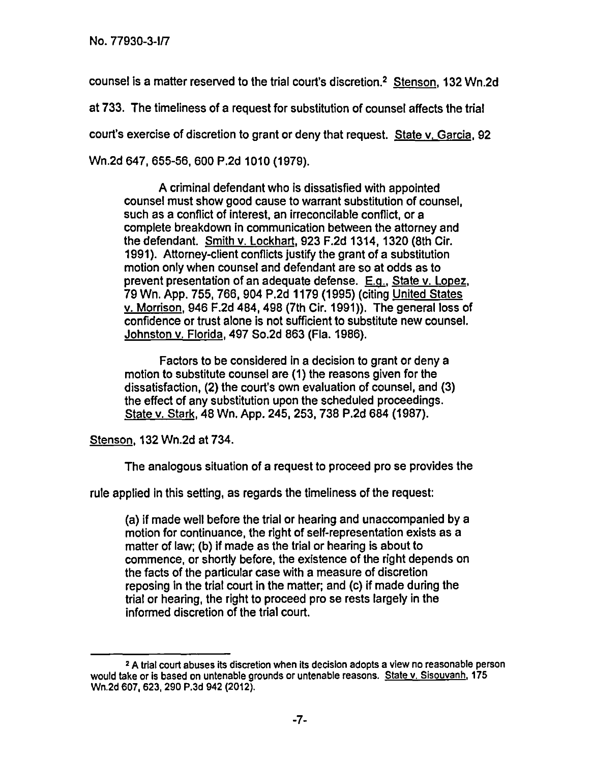counsel is a matter reserved to the trial court's discretion.2 Stenson,132 Wn.2d

at 733. The timeliness of a request for substitution of counsel affects the trial court's exercise of discretion to grant or deny that request. State v. Garcia, 92

Wn.2d 647, 655-56, 600 P.2d 1010 (1979).

A criminal defendant who is dissatisfied with appointed counsel must show good cause to warrant substitution of counsel, such as a conflict of interest, an irreconcilable conflict, or a complete breakdown in communication between the attorney and the defendant. Smith v. Lockhart,923 F.2d 1314, 1320 (8th Cir. 1991). Attorney-client conflicts justify the grant of a substitution motion only when counsel and defendant are so at odds as to prevent presentation of an adequate defense. E.g., State v. Lopez, 79 Wn. App. 755, 766, 904 P.2d 1179 (1995) (citing United States v. Morrison,946 F.2d 484,498 (7th Cir. 1991)). The general loss of confidence or trust alone is not sufficient to substitute new counsel. Johnston v. Florida,497 So.2d 863 (Fla. 1986).

Factors to be considered in a decision to grant or deny a motion to substitute counsel are (1) the reasons given for the dissatisfaction, (2) the court's own evaluation of counsel, and (3) the effect of any substitution upon the scheduled proceedings. State v. Stark,48 Wn. App. 245, 253, 738 P.2d 684 (1987).

Stenson,132 Wn.2d at 734.

The analogous situation of a request to proceed pro se provides the

rule applied in this setting, as regards the timeliness of the request:

(a) if made well before the trial or hearing and unaccompanied by a motion for continuance, the right of self-representation exists as a matter of law; (b) if made as the trial or hearing is about to commence, or shortly before, the existence of the right depends on the facts of the particular case with a measure of discretion reposing in the trial court in the matter; and (c) if made during the trial or hearing, the right to proceed pro se rests largely in the informed discretion of the trial court.

<sup>2</sup> A trial court abuses its discretion when its decision adopts a view no reasonable person would take or is based on untenable grounds or untenable reasons. State v. Sisouvanh, 175 Wn.2d 607, 623, 290 P.3d 942 (2012).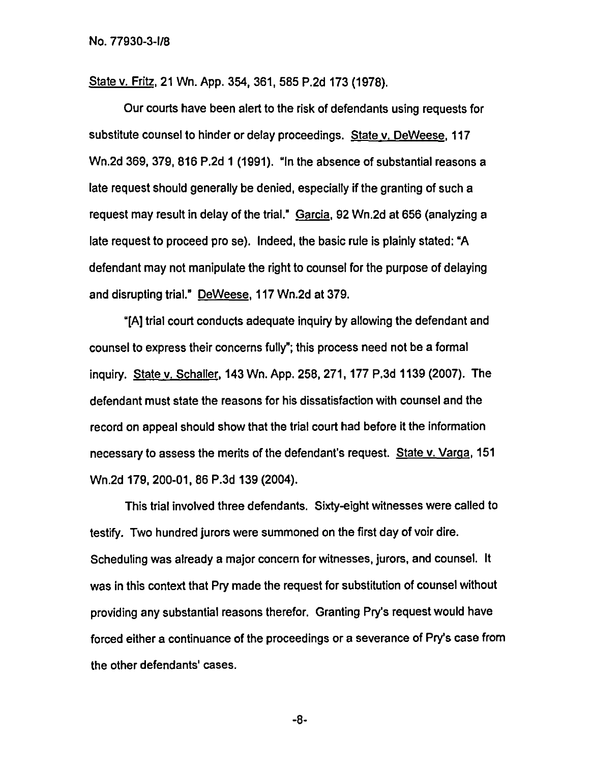State v. Fritz, 21 Wn. App. 354, 361, 585 P.2d 173 (1978).

Our courts have been alert to the risk of defendants using requests for substitute counsel to hinder or delay proceedings. State v. DeWeese, 117 Wn.2d 369, 379, 816 P.2d 1 (1991). "In the absence of substantial reasons a late request should generally be denied, especially if the granting of such a request may result in delay of the trial." Garcia, 92 Wn.2d at 656 (analyzing a late request to proceed pro se). Indeed, the basic rule is plainly stated: "A defendant may not manipulate the right to counsel for the purpose of delaying and disrupting trial." DeWeese,117 Wn.2d at 379.

"[A] trial court conducts adequate inquiry by allowing the defendant and counsel to express their concerns fully"; this process need not be a formal inquiry. State v. Schaller, 143 Wn. App. 258, 271, 177 P.3d 1139 (2007). The defendant must state the reasons for his dissatisfaction with counsel and the record on appeal should show that the trial court had before it the information necessary to assess the merits of the defendant's request. State v. Varga, 151 Wn.2d 179, 200-01, 86 P.3d 139 (2004).

This trial involved three defendants. Sixty-eight witnesses were called to testify. Two hundred jurors were summoned on the first day of voir dire. Scheduling was already a major concern for witnesses, jurors, and counsel. It was in this context that Pry made the request for substitution of counsel without providing any substantial reasons therefor. Granting Pry's request would have forced either a continuance of the proceedings or a severance of Pry's case from the other defendants' cases.

-8-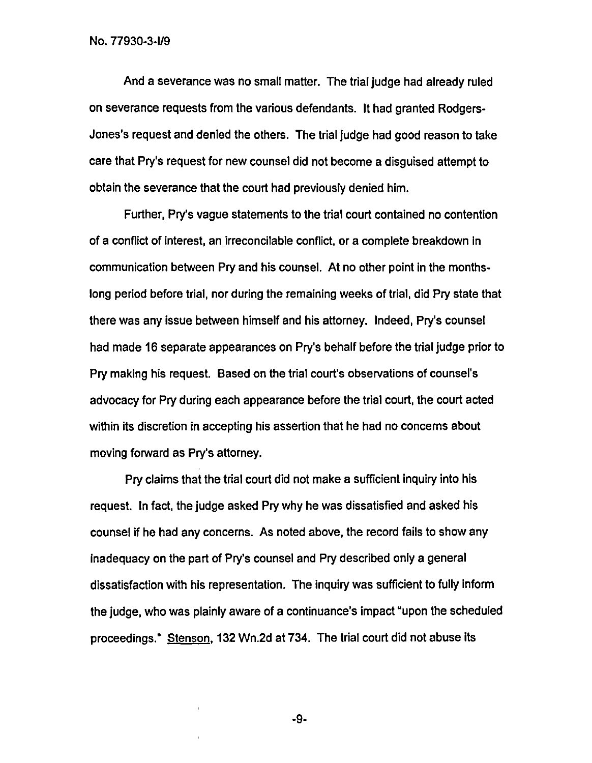And a severance was no small matter. The trial judge had already ruled on severance requests from the various defendants. It had granted Rodgers-Jones's request and denied the others. The trial judge had good reason to take care that Pry's request for new counsel did not become a disguised attempt to obtain the severance that the court had previously denied him.

Further, Pry's vague statements to the trial court contained no contention of a conflict of interest, an irreconcilable conflict, or a complete breakdown in communication between Pry and his counsel. At no other point in the monthslong period before trial, nor during the remaining weeks of trial, did Pry state that there was any issue between himself and his attorney. Indeed, Pry's counsel had made 16 separate appearances on Pry's behalf before the trial judge prior to Pry making his request. Based on the trial court's observations of counsel's advocacy for Pry during each appearance before the trial court, the court acted within its discretion in accepting his assertion that he had no concerns about moving forward as Pry's attorney.

Pry claims that the trial court did not make a sufficient inquiry into his request. In fact, the judge asked Pry why he was dissatisfied and asked his counsel if he had any concerns. As noted above, the record fails to show any inadequacy on the part of Pry's counsel and Pry described only a general dissatisfaction with his representation. The inquiry was sufficient to fully inform the judge, who was plainly aware of a continuance's impact "upon the scheduled proceedings." Stenson, 132 Wn.2d at 734. The trial court did not abuse its

-9-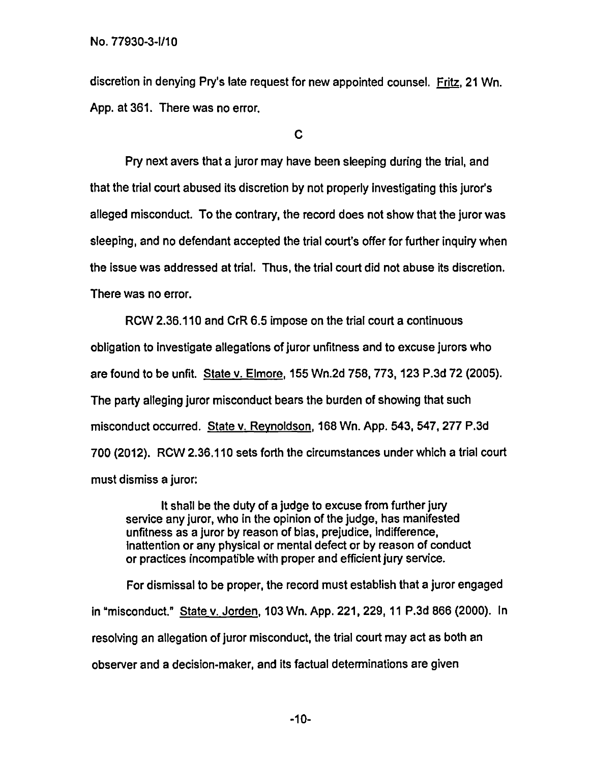discretion in denying Pry's late request for new appointed counsel. Fritz, 21 Wn. App. at 361. There was no error.

C

Pry next avers that a juror may have been sleeping during the trial, and that the trial court abused its discretion by not properly investigating this juror's alleged misconduct. To the contrary, the record does not show that the juror was sleeping, and no defendant accepted the trial court's offer for further inquiry when the issue was addressed at trial. Thus, the trial court did not abuse its discretion. There was no error.

ROW 2.36.110 and CrR 6.5 impose on the trial court a continuous obligation to investigate allegations of juror unfitness and to excuse jurors who are found to be unfit. State v. Elmore,155 Wn.2d 758, 773, 123 P.3d 72 (2005). The party alleging juror misconduct bears the burden of showing that such misconduct occurred. State v. Revnoldson,168 Wn. App. 543, 547, 277 P.3d 700 (2012). ROW 2.36.110 sets forth the circumstances under which a trial court must dismiss a juror:

It shall be the duty of a judge to excuse from further jury service any juror, who in the opinion of the judge, has manifested unfitness as a juror by reason of bias, prejudice, indifference, Inattention or any physical or mental defect or by reason of conduct or practices incompatible with proper and efficient jury service.

For dismissal to be proper, the record must establish that a juror engaged in "misconduct." State v. Jorden,103 Wn. App. 221, 229, 11 P.3d 866 (2000). In resolving an allegation of juror misconduct, the trial court may act as both an observer and a decision-maker, and its factual determinations are given

-10-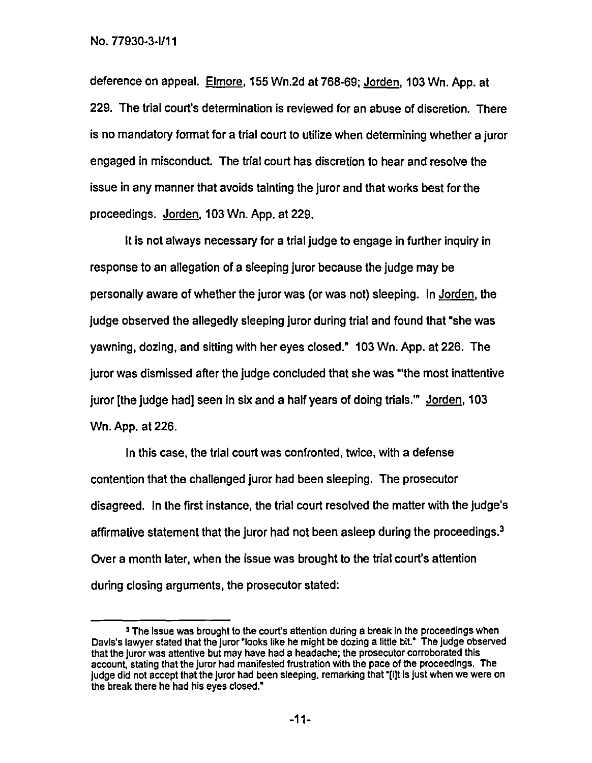deference on appeal. Elmore, 155 Wn.2d at 768-69; Jorden, 103 Wn. App. at 229. The trial court's determination is reviewed for an abuse of discretion. There is no mandatory format for a trial court to utilize when determining whether a juror engaged in misconduct. The trial court has discretion to hear and resolve the issue in any manner that avoids tainting the juror and that works best for the proceedings. Jorden,103 Wn. App. at 229.

It is not always necessary for a trial judge to engage in further inquiry in response to an allegation of a sleeping juror because the judge may be personally aware of whether the juror was (or was not) sleeping. In Jorden, the judge observed the allegedly sleeping juror during trial and found that "she was yawning, dozing, and sitting with her eyes closed." 103 Wn. App. at 226. The juror was dismissed after the judge concluded that she was "'the most inattentive juror [the judge had] seen in six and a half years of doing trials." Jorden, 103 Wn. App. at 226.

In this case, the trial court was confronted, twice, with a defense contention that the challenged juror had been sleeping. The prosecutor disagreed. In the first instance, the trial court resolved the matter with the judge's affirmative statement that the juror had not been asleep during the proceedings.<sup>3</sup> Over a month later, when the issue was brought to the trial court's attention during closing arguments, the prosecutor stated:

<sup>&</sup>lt;sup>3</sup> The issue was brought to the court's attention during a break in the proceedings when Davis's lawyer stated that the juror "looks like he might be dozing a little bit." The judge observed that the juror was attentive but may have had a headache; the prosecutor corroborated this account, stating that the juror had manifested frustration with the pace of the proceedings. The judge did not accept that the juror had been sleeping, remarking that "[i]t is just when we were on the break there he had his eyes closed."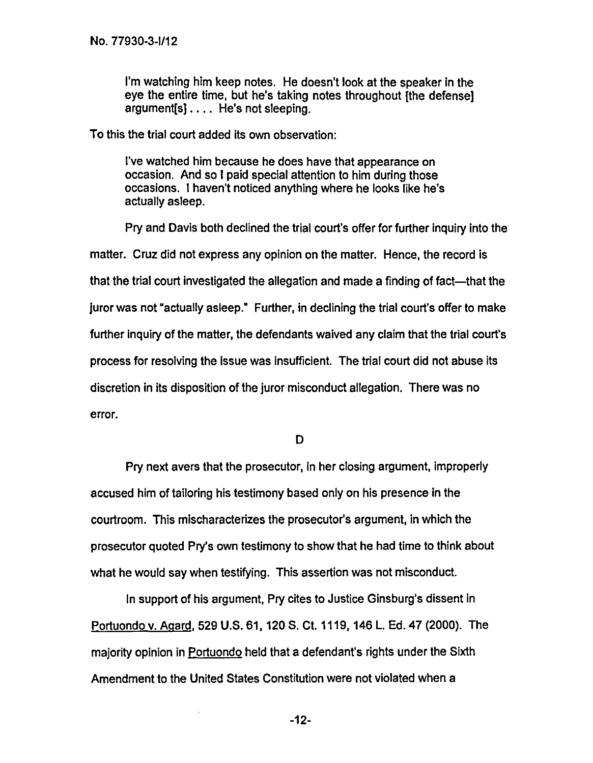I'm watching him keep notes. He doesn't look at the speaker in the eye the entire time, but he's taking notes throughout [the defense] argument[s] .... He's not sleeping.

To this the trial court added its own observation:

<sup>I</sup>'ve watched him because he does have that appearance on occasion. And so I paid special attention to him during those occasions. I haven't noticed anything where he looks like he's actually asleep.

Pry and Davis both declined the trial court's offer for further inquiry into the matter. Cruz did not express any opinion on the matter. Hence, the record is that the trial court investigated the allegation and made a finding of fact—that the iuror was not "actually asleep." Further, in declining the trial court's offer to make further inquiry of the matter, the defendants waived any claim that the trial court's process for resolving the Issue was Insufficient. The trial court did not abuse its discretion in its disposition of the juror misconduct allegation. There was no error.

 $\mathbf D$ 

Pry next avers that the prosecutor, in her closing argument, improperly accused him of tailoring his testimony based only on his presence in the courtroom. This mischaracterizes the prosecutor's argument, in which the prosecutor quoted Pry's own testimony to show that he had time to think about what he would say when testifying. This assertion was not misconduct.

In support of his argument, Pry cites to Justice Ginsburg's dissent in Portuondo v. Agard, 529 U.S. 61, 120 S. Ct. 1119, 146 L. Ed. 47 (2000). The majority opinion in Portuondo held that a defendant's rights under the Sixth Amendment to the United States Constitution were not violated when a

-12-

 $\mathbf{I}$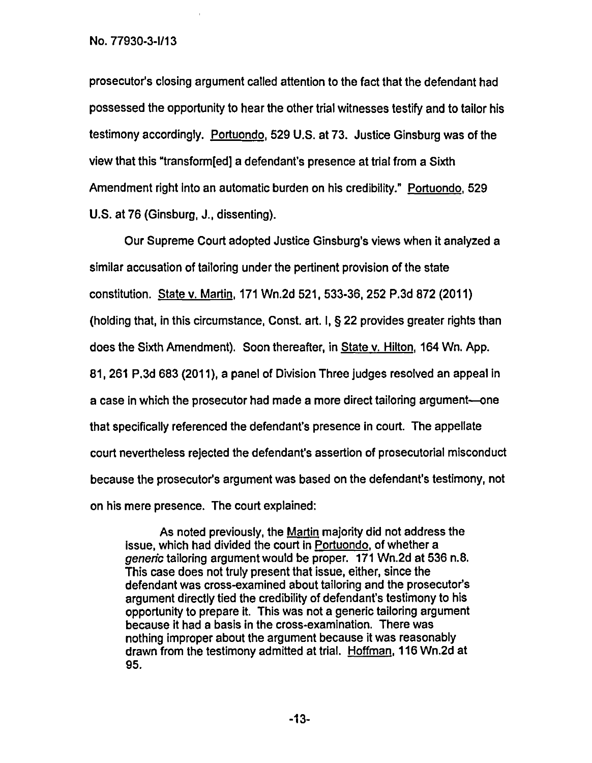prosecutor's closing argument called attention to the fact that the defendant had possessed the opportunity to hear the other trial witnesses testify and to tailor his testimony accordingly. Portuondo,529 U.S. at 73. Justice Ginsburg was of the view that this "transform[ed] a defendant's presence at trial from a Sixth Amendment right into an automatic burden on his credibility." Portuondo, 529 U.S. at 76 (Ginsburg, J., dissenting).

Our Supreme Court adopted Justice Ginsburg's views when it analyzed a similar accusation of tailoring under the pertinent provision of the state constitution. State v. Martin, 171 Wn.2d 521, 533-36, 252 P.3d 872 (2011) (holding that, in this circumstance, Const. art. I, § 22 provides greater rights than does the Sixth Amendment). Soon thereafter, in State v. Hilton, 164 Wn. App. 81,261 P.3d 683 (2011), a panel of Division Three judges resolved an appeal in a case in which the prosecutor had made a more direct tailoring argument—one that specifically referenced the defendant's presence in court. The appellate court nevertheless rejected the defendant's assertion of prosecutorial misconduct because the prosecutor's argument was based on the defendant's testimony, not on his mere presence. The court explained:

As noted previously, the Martin majority did not address the issue, which had divided the court in Portuondo, of whether a generic tailoring argument would be proper. 171 Wn.2d at 536 n.8. This case does not truly present that issue, either, since the defendant was cross-examined about tailoring and the prosecutor's argument directly tied the credibility of defendant's testimony to his opportunity to prepare it. This was not a generic tailoring argument because it had a basis in the cross-examination. There was nothing improper about the argument because it was reasonably drawn from the testimony admitted at trial. Hoffman,116 Wn.2d at 95.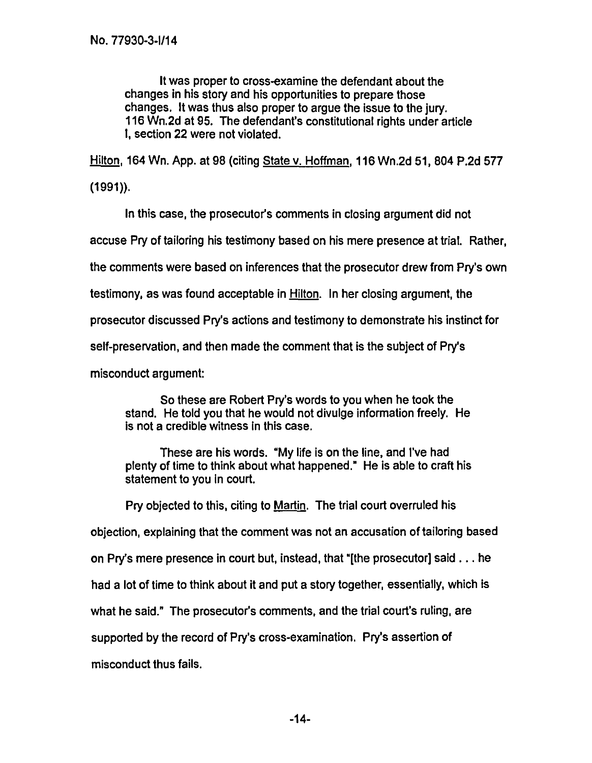It was proper to cross-examine the defendant about the changes in his story and his opportunities to prepare those changes. It was thus also proper to argue the issue to the jury. 116 Wn.2d at 95. The defendant's constitutional rights under article I, section 22 were not violated.

Hilton, 164 Wn. App. at 98 (citing State v. Hoffman, 116 Wn.2d 51, 804 P.2d 577

(1991)).

In this case, the prosecutor's comments in closing argument did not

accuse Pry of tailoring his testimony based on his mere presence at trial. Rather,

the comments were based on inferences that the prosecutor drew from Pry's own

testimony, as was found acceptable in Hilton. In her closing argument, the

prosecutor discussed Pry's actions and testimony to demonstrate his instinct for

self-preservation, and then made the comment that is the subject of Pry's

misconduct argument:

So these are Robert Pry's words to you when he took the stand. He told you that he would not divulge information freely. He is not a credible witness in this case.

These are his words. "My life is on the line, and I've had plenty of time to think about what happened." He is able to craft his statement to you in court.

Pry objected to this, citing to Martin. The trial court overruled his

objection, explaining that the comment was not an accusation of tailoring based

on Pry's mere presence in court but, instead, that "[the prosecutor] said ... he

had a lot of time to think about it and put a story together, essentially, which is

what he said." The prosecutor's comments, and the trial court's ruling, are

supported by the record of Pry's cross-examination. Pry's assertion of

misconduct thus fails.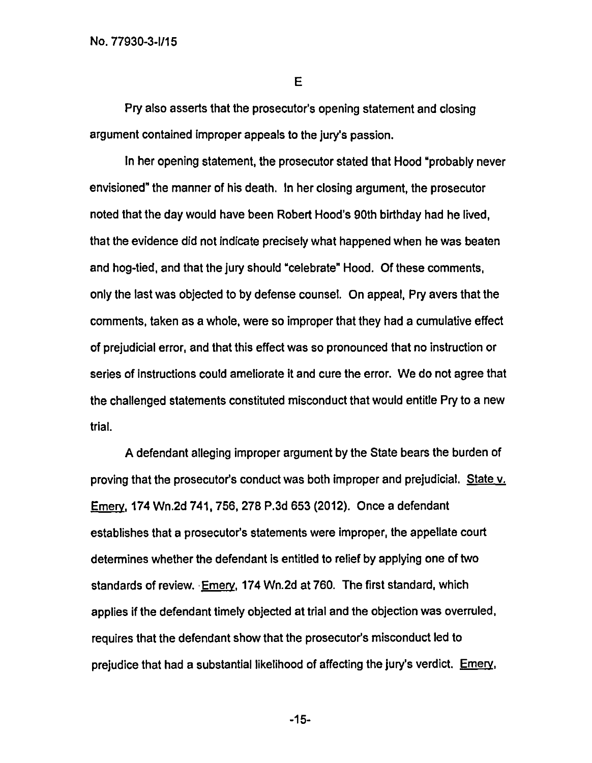E

Pry also asserts that the prosecutor's opening statement and closing argument contained improper appeals to the jury's passion.

In her opening statement, the prosecutor stated that Hood "probably never envisioned" the manner of his death. In her closing argument, the prosecutor noted that the day would have been Robert Hood's 90th birthday had he lived, that the evidence did not indicate precisely what happened when he was beaten and hog-tied, and that the jury should "celebrate" Hood. Of these comments, only the last was objected to by defense counsel. On appeal, Pry avers that the comments, taken as a whole, were so improper that they had a cumulative effect of prejudicial error, and that this effect was so pronounced that no instruction or series of instructions could ameliorate it and cure the error. We do not agree that the challenged statements constituted misconduct that would entitle Pry to a new trial.

A defendant alleging improper argument by the State bears the burden of proving that the prosecutor's conduct was both improper and prejudicial. State v. Emery,174 Wn.2d 741, 756, 278 P.3d 653 (2012). Once a defendant establishes that a prosecutor's statements were improper, the appellate court determines whether the defendant is entitled to relief by applying one of two standards of review. Emery,174 Wn.2d at 760. The first standard, which applies if the defendant timely objected at trial and the objection was overruled, requires that the defendant show that the prosecutor's misconduct led to prejudice that had a substantial likelihood of affecting the jury's verdict. Emery,

-15-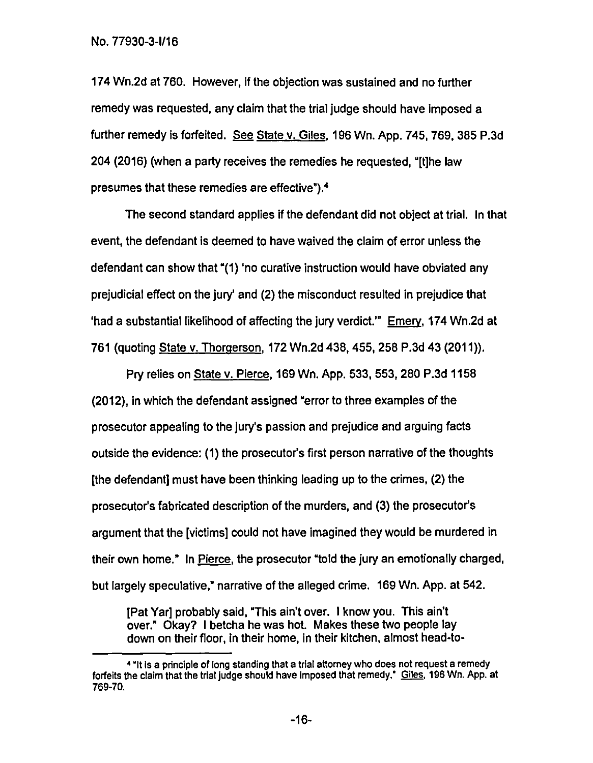174 Wn.2d at 760. However, if the objection was sustained and no further remedy was requested, any claim that the trial judge should have imposed a further remedy is forfeited. See State v. Giles, 196 Wn. App. 745, 769, 385 P.3d 204 (2016) (when a party receives the remedies he requested, "[t]he law presumes that these remedies are effective").4

The second standard applies if the defendant did not object at trial. In that event, the defendant is deemed to have waived the claim of error unless the defendant can show that "(1) 'no curative instruction would have obviated any prejudicial effect on the jury' and (2) the misconduct resulted in prejudice that 'had a substantial likelihood of affecting the jury verdict.'" Emery,174 Wn.2d at 761 (quoting State v. Thorgerson, 172 Wn.2d 438, 455, 258 P.3d 43 (2011)).

Pry relies on State v. Pierce, 169 Wn. App. 533, 553, 280 P.3d 1158 (2012), in which the defendant assigned "error to three examples of the prosecutor appealing to the jury's passion and prejudice and arguing facts outside the evidence: (1) the prosecutor's first person narrative of the thoughts [the defendant] must have been thinking leading up to the crimes, (2) the prosecutor's fabricated description of the murders, and (3) the prosecutor's argument that the [victims] could not have imagined they would be murdered in their own home." In Pierce, the prosecutor "told the jury an emotionally charged, but largely speculative," narrative of the alleged crime. 169 Wn. App. at 542.

[Pat Yar] probably said, "This ain't over. I know you. This ain't over." Okay? 1 betcha he was hot. Makes these two people lay down on their floor, in their home, in their kitchen, almost head-to-

<sup>&</sup>lt;sup>4</sup> "It is a principle of long standing that a trial attorney who does not request a remedy forfeits the claim that the trial judge should have imposed that remedy." Giles, 196 Wn. App. at 769-70.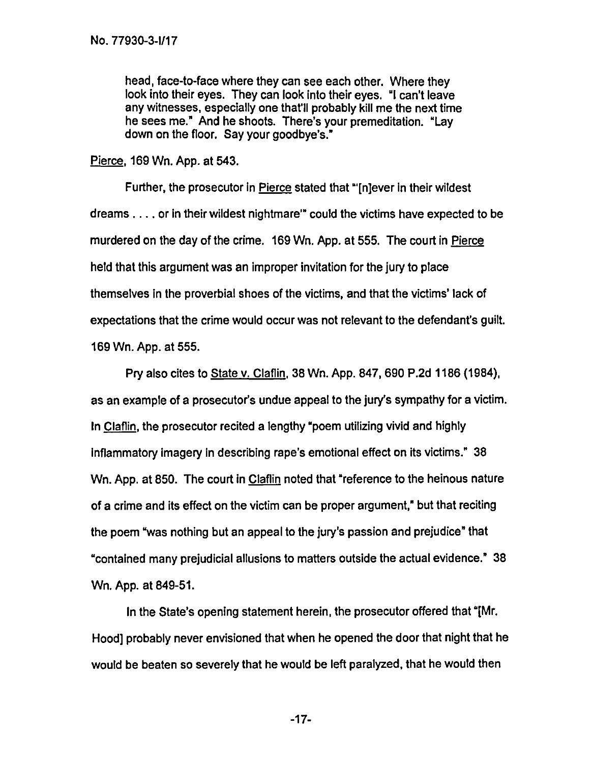head, face-to-face where they can see each other. Where they look into their eyes. They can look into their eyes. "I can't leave any witnesses, especially one that'll probably kill me the next time he sees me." And he shoots. There's your premeditation. "Lay down on the floor. Say your goodbye's."

Pierce, 169 Wn. App. at 543.

Further, the prosecutor in Pierce stated that "'[n]ever in their wildest dreams. .. . or in their wildest nightmare'" could the victims have expected to be murdered on the day of the crime. 169 Wn. App. at 555. The court in Pierce held that this argument was an improper invitation for the jury to place themselves in the proverbial shoes of the victims, and that the victims' lack of expectations that the crime would occur was not relevant to the defendant's guilt. 169 Wn. App. at 555.

Pry also cites to State v. Claflin, 38 Wn. App. 847, 690 P.2d 1186 (1984), as an example of a prosecutor's undue appeal to the jury's sympathy for a victim. In Claflin, the prosecutor recited a lengthy "poem utilizing vivid and highly Inflammatory imagery In describing rape's emotional effect on its victims." 38 Wn. App. at 850. The court in Claflin noted that "reference to the heinous nature of a crime and its effect on the victim can be proper argument," but that reciting the poem "was nothing but an appeal to the jury's passion and prejudice" that "contained many prejudicial allusions to matters outside the actual evidence." 38 Wn. App. at 849-51.

In the State's opening statement herein, the prosecutor offered that "[Mr. Hood] probably never envisioned that when he opened the door that night that he would be beaten so severely that he would be left paralyzed, that he would then

-17-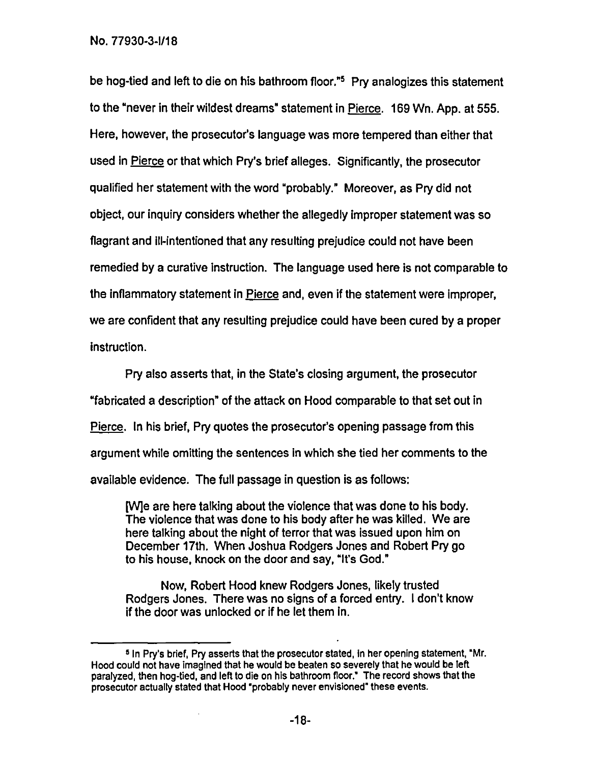be hog-tied and left to die on his bathroom floor."5 Pry analogizes this statement to the "never in their wildest dreams" statement in Pierce. 169 Wn. App. at 555. Here, however, the prosecutor's language was more tempered than either that used in Pierce or that which Pry's brief alleges. Significantly, the prosecutor qualified her statement with the word "probably." Moreover, as Pry did not object, our inquiry considers whether the allegedly improper statement was so flagrant and ill-intentioned that any resulting prejudice could not have been remedied by a curative instruction. The language used here is not comparable to the inflammatory statement in Pierce and, even if the statement were improper, we are confident that any resulting prejudice could have been cured by a proper instruction.

Pry also asserts that, in the State's closing argument, the prosecutor "fabricated a description" of the attack on Hood comparable to that set out in Pierce. In his brief, Pry quotes the prosecutor's opening passage from this argument while omitting the sentences in which she tied her comments to the available evidence. The full passage in question is as follows:

The are here talking about the violence that was done to his body. The violence that was done to his body after he was killed. We are here talking about the night of terror that was issued upon him on December 17th. When Joshua Rodgers Jones and Robert Pry go to his house, knock on the door and say, "It's God."

Now, Robert Hood knew Rodgers Jones, likely trusted Rodgers Jones. There was no signs of a forced entry. I don't know if the door was unlocked or if he let them in.

<sup>5</sup> In Pry's brief, Pry asserts that the prosecutor stated, in her opening statement, 'Mr. Hood could not have imagined that he would be beaten so severely that he would be left paralyzed, then hog-tied, and left to die on his bathroom floor? The record shows that the prosecutor actually stated that Hood 'probably never envisioned" these events.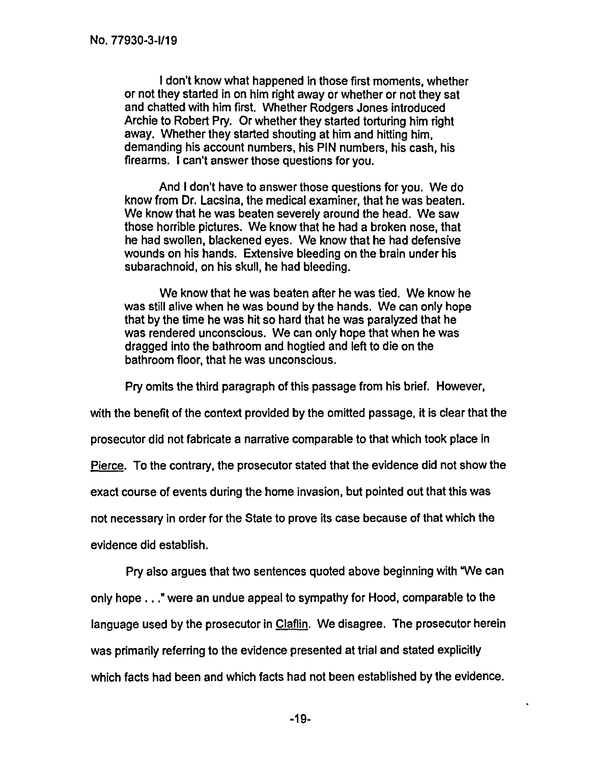I don't know what happened in those first moments, whether or not they started in on him right away or whether or not they sat and chatted with him first. Whether Rodgers Jones introduced Archie to Robert Pry. Or whether they started torturing him right away. Whether they started shouting at him and hitting him, demanding his account numbers, his PIN numbers, his cash, his firearms. I can't answer those questions for you.

And I don't have to answer those questions for you. We do know from Dr. Lacsina, the medical examiner, that he was beaten. We know that he was beaten severely around the head. We saw those horrible pictures. We know that he had a broken nose, that he had swollen, blackened eyes. We know that he had defensive wounds on his hands. Extensive bleeding on the brain under his subarachnoid, on his skull, he had bleeding.

We know that he was beaten after he was tied. We know he was still alive when he was bound by the hands. We can only hope that by the time he was hit so hard that he was paralyzed that he was rendered unconscious. We can only hope that when he was dragged into the bathroom and hogtied and left to die on the bathroom floor, that he was unconscious.

Pry omits the third paragraph of this passage from his brief. However,

with the benefit of the context provided by the omitted passage, it is clear that the

prosecutor did not fabricate a narrative comparable to that which took place In

Pierce. To the contrary, the prosecutor stated that the evidence did not show the

exact course of events during the home invasion, but pointed out that this was

not necessary in order for the State to prove its case because of that which the

evidence did establish.

Pry also argues that two sentences quoted above beginning with "We can only hope. .." were an undue appeal to sympathy for Hood, comparable to the language used by the prosecutor in Claflin. We disagree. The prosecutor herein was primarily referring to the evidence presented at trial and stated explicitly which facts had been and which facts had not been established by the evidence.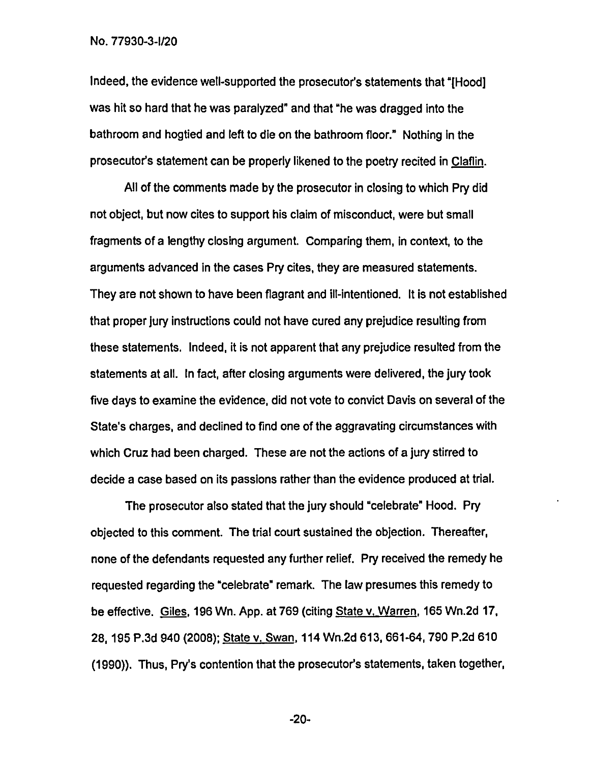Indeed, the evidence well-supported the prosecutor's statements that "[Hood] was hit so hard that he was paralyzed" and that "he was dragged into the bathroom and hogtied and left to die on the bathroom floor." Nothing in the prosecutor's statement can be properly likened to the poetry recited in Claflin

All of the comments made by the prosecutor in closing to which Pry did not object, but now cites to support his claim of misconduct, were but small fragments of a lengthy closing argument. Comparing them, in context, to the arguments advanced in the cases Pry cites, they are measured statements. They are not shown to have been flagrant and ill-intentioned. It is not established that proper jury instructions could not have cured any prejudice resulting from these statements. Indeed, it is not apparent that any prejudice resulted from the statements at all. In fact, after closing arguments were delivered, the jury took five days to examine the evidence, did not vote to convict Davis on several of the State's charges, and declined to find one of the aggravating circumstances with which Cruz had been charged. These are not the actions of a jury stirred to decide a case based on its passions rather than the evidence produced at trial.

The prosecutor also stated that the jury should "celebrate" Hood. Pry objected to this comment. The trial court sustained the objection. Thereafter, none of the defendants requested any further relief. Pry received the remedy he requested regarding the "celebrate" remark. The law presumes this remedy to be effective. Giles, 196 Wn. App. at 769 (citing State v. Warren, 165 Wn.2d 17, 28, 195 P.3d 940 (2008); State v. Swan, 114 Wn.2d 613, 661-64, 790 P.2d 610 (1990)). Thus, Pry's contention that the prosecutor's statements, taken together,

-20-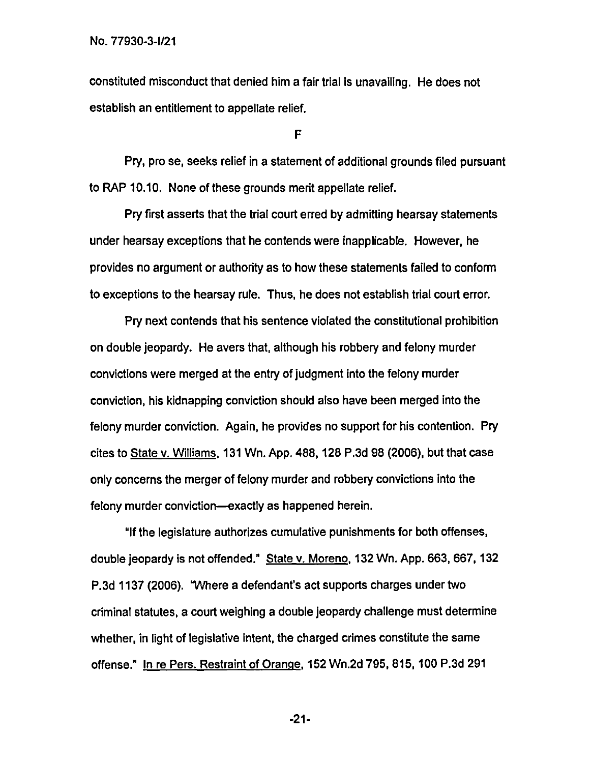constituted misconduct that denied him a fair trial is unavailing. He does not establish an entitlement to appellate relief.

F

Pry, pro se, seeks relief in a statement of additional grounds filed pursuant to RAP 10.10. None of these grounds merit appellate relief.

Pry first asserts that the trial court erred by admitting hearsay statements under hearsay exceptions that he contends were inapplicable. However, he provides no argument or authority as to how these statements failed to conform to exceptions to the hearsay rule. Thus, he does not establish trial court error.

Pry next contends that his sentence violated the constitutional prohibition on double jeopardy. He avers that, although his robbery and felony murder convictions were merged at the entry of judgment into the felony murder conviction, his kidnapping conviction should also have been merged into the felony murder conviction. Again, he provides no support for his contention. Pry cites to State v. Williams, 131 Wn. App. 488, 128 P.3d 98 (2006), but that case only concerns the merger of felony murder and robbery convictions into the felony murder conviction—exactly as happened herein.

"If the legislature authorizes cumulative punishments for both offenses, double jeopardy is not offended." State v. Moreno,132 Wn. App. 663, 667, 132 P.3d 1137 (2006). "Where a defendant's act supports charges under two criminal statutes, a court weighing a double jeopardy challenge must determine whether, in light of legislative intent, the charged crimes constitute the same offense." In re Pers. Restraint of Orange,152 Wn.2d 795, 815, 100 P.3d 291

-21-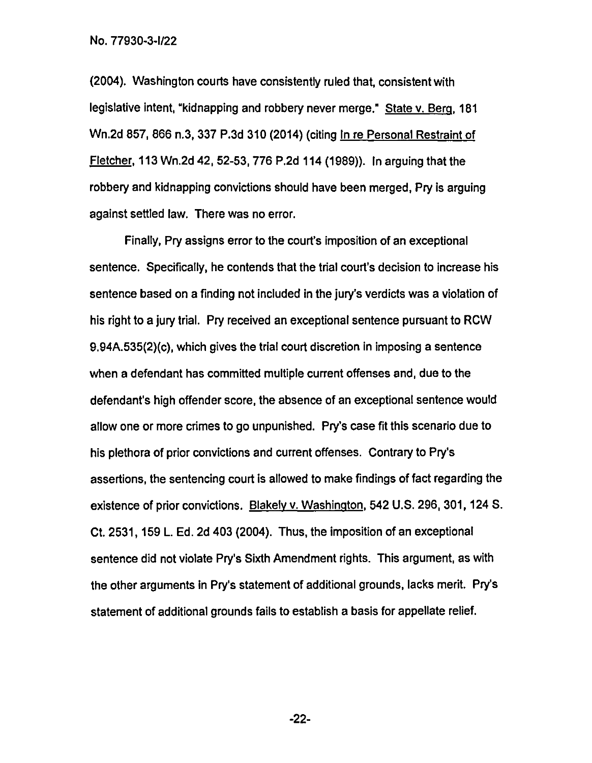(2004). Washington courts have consistently ruled that, consistent with legislative intent, "kidnapping and robbery never merge." State v. Berg, 181 Wn.2d 857, 866 n.3, 337 P.3d 310 (2014) (citing In re Personal Restraint of Fletcher, 113 Wn.2d 42, 52-53, 776 P.2d 114 (1989)). In arguing that the robbery and kidnapping convictions should have been merged, Pry is arguing against settled law. There was no error.

Finally, Pry assigns error to the court's imposition of an exceptional sentence. Specifically, he contends that the trial court's decision to increase his sentence based on a finding not included in the jury's verdicts was a violation of his right to a jury trial. Pry received an exceptional sentence pursuant to ROW 9.94A.535(2)(c), which gives the trial court discretion in imposing a sentence when a defendant has committed multiple current offenses and, due to the defendant's high offender score, the absence of an exceptional sentence would allow one or more crimes to go unpunished. Pry's case fit this scenario due to his plethora of prior convictions and current offenses. Contrary to Pry's assertions, the sentencing court is allowed to make findings of fact regarding the existence of prior convictions. Blakely v. Washington, 542 U.S. 296, 301, 124 S. Ct. 2531, 159 L. Ed. 2d 403 (2004). Thus, the imposition of an exceptional sentence did not violate Pry's Sixth Amendment rights. This argument, as with the other arguments in Pry's statement of additional grounds, lacks merit. Pry's statement of additional grounds fails to establish a basis for appellate relief.

-22-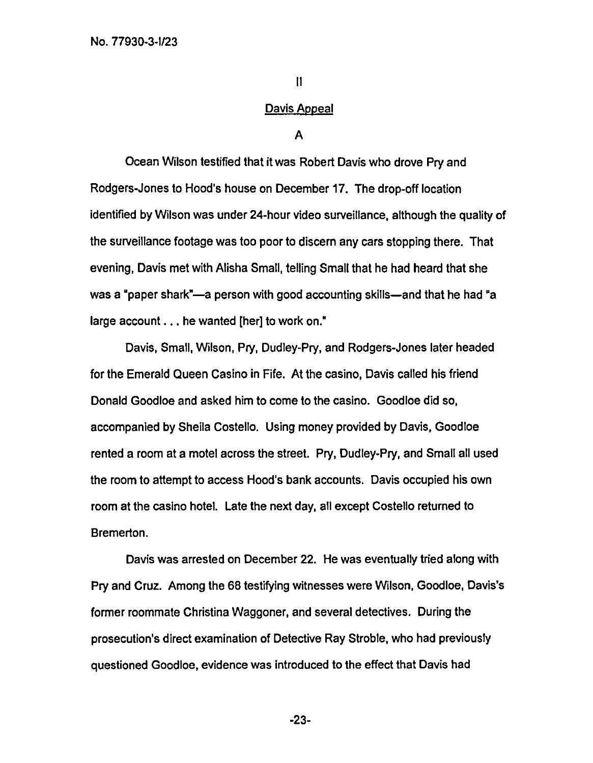11

#### Davis Appeal

A

Ocean Wilson testified that it was Robert Davis who drove Pry and Rodgers-Jones to Hood's house on December 17. The drop-off location identified by Wilson was under 24-hour video surveillance, although the quality of the surveillance footage was too poor to discern any cars stopping there. That evening, Davis met with Alisha Small, telling Small that he had heard that she was a "paper shark"—a person with good accounting skills—and that he had "a large account . . . he wanted [her] to work on."

Davis, Small, Wilson, Pry, Dudley-Pry, and Rodgers-Jones later headed for the Emerald Queen Casino in Fife. At the casino, Davis called his friend Donald Goodloe and asked him to come to the casino. Goodloe did so, accompanied by Sheila Costello. Using money provided by Davis, Goodloe rented a room at a motel across the street. Pry, Dudley-Pry, and Small all used the room to attempt to access Hood's bank accounts. Davis occupied his own room at the casino hotel. Late the next day, all except Costello returned to Bremerton.

Davis was arrested on December 22. He was eventually tried along with Pry and Cruz. Among the 68 testifying witnesses were Wilson, Goodloe, Davis's former roommate Christina Waggoner, and several detectives. During the prosecution's direct examination of Detective Ray Stroble, who had previously questioned Goodloe, evidence was introduced to the effect that Davis had

-23-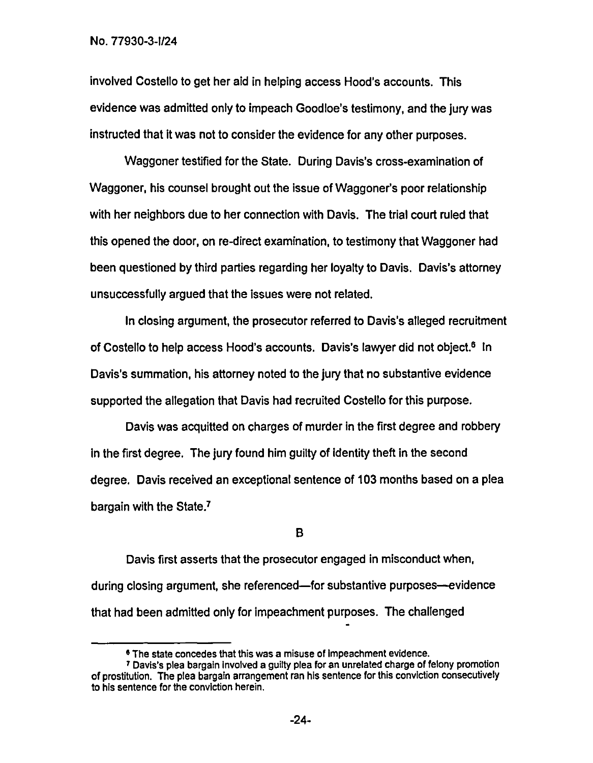involved Costello to get her aid in helping access Hood's accounts. This evidence was admitted only to impeach Goodloe's testimony, and the jury was instructed that it was not to consider the evidence for any other purposes.

Waggoner testified for the State. During Davis's cross-examination of Waggoner, his counsel brought out the issue of Waggoner's poor relationship with her neighbors due to her connection with Davis. The trial court ruled that this opened the door, on re-direct examination, to testimony that Waggoner had been questioned by third parties regarding her loyalty to Davis. Davis's attorney unsuccessfully argued that the issues were not related.

In closing argument, the prosecutor referred to Davis's alleged recruitment of Costello to help access Hood's accounts. Davis's lawyer did not object.<sup>6</sup> In Davis's summation, his attorney noted to the jury that no substantive evidence supported the allegation that Davis had recruited Costello for this purpose.

Davis was acquitted on charges of murder in the first degree and robbery In the first degree. The jury found him guilty of identity theft in the second degree. Davis received an exceptional sentence of 103 months based on a plea bargain with the State.<sup>7</sup>

B

Davis first asserts that the prosecutor engaged in misconduct when, during closing argument, she referenced—for substantive purposes—evidence that had been admitted only for impeachment purposes. The challenged

<sup>&</sup>lt;sup>6</sup> The state concedes that this was a misuse of impeachment evidence.

<sup>7</sup> Davis's plea bargain Involved a guilty plea for an unrelated charge of felony promotion of prostitution. The plea bargain arrangement ran his sentence for this conviction consecutively to his sentence for the conviction herein.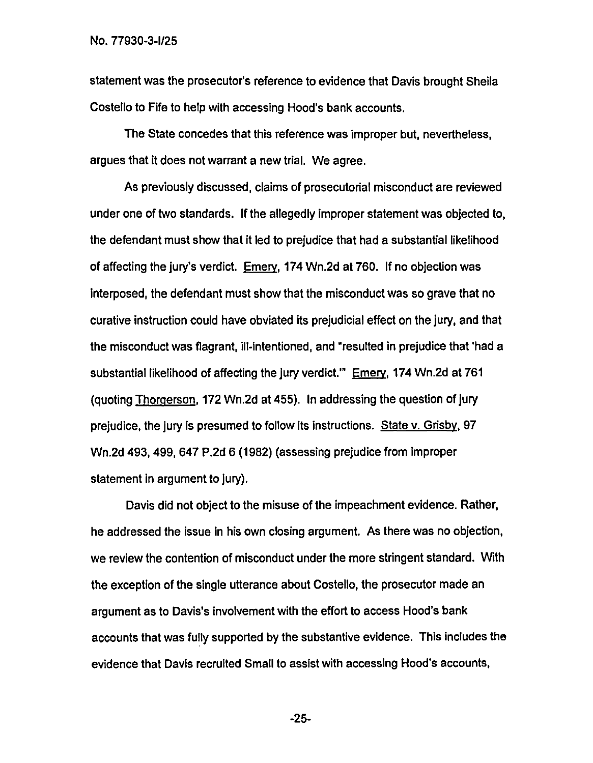statement was the prosecutor's reference to evidence that Davis brought Sheila Costello to Fife to help with accessing Hood's bank accounts.

The State concedes that this reference was improper but, nevertheless, argues that it does not warrant a new trial. We agree.

As previously discussed, claims of prosecutorial misconduct are reviewed under one of two standards. If the allegedly improper statement was objected to, the defendant must show that it led to prejudice that had a substantial likelihood of affecting the jury's verdict. Emery, 174 Wn.2d at 760. If no objection was interposed, the defendant must show that the misconduct was so grave that no curative instruction could have obviated its prejudicial effect on the jury, and that the misconduct was flagrant, ill-intentioned, and "resulted in prejudice that 'had a substantial likelihood of affecting the jury verdict.'" Emery,174 Wn.2d at 761 (quoting Thomerson,172 Wn.2d at 455). In addressing the question of jury prejudice, the jury is presumed to follow its instructions. State v. Grisby,97 Wn.2d 493, 499, 647 P.2d 6 (1982) (assessing prejudice from improper statement in argument to jury).

Davis did not object to the misuse of the impeachment evidence. Rather, he addressed the issue in his own closing argument. As there was no objection, we review the contention of misconduct under the more stringent standard. With the exception of the single utterance about Costello, the prosecutor made an argument as to Davis's involvement with the effort to access Hood's bank accounts that was fully supported by the substantive evidence. This includes the evidence that Davis recruited Small to assist with accessing Hood's accounts,

-25-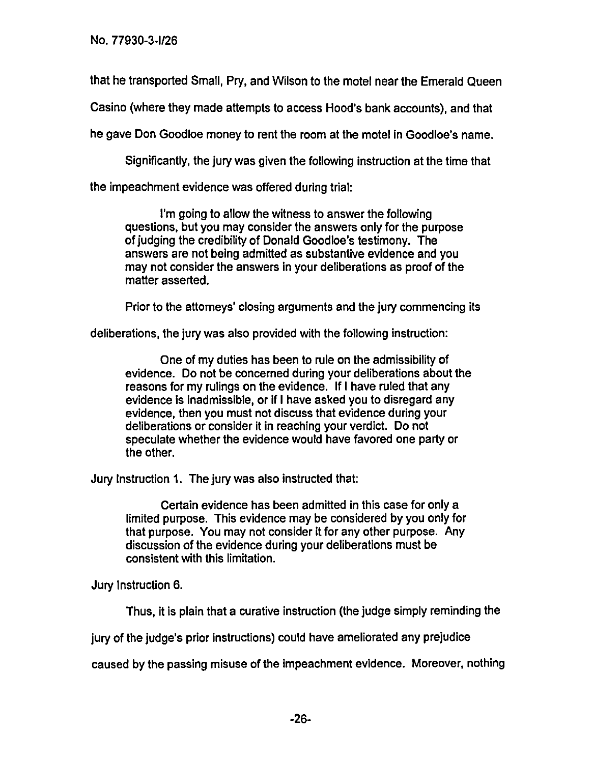that he transported Small, Pry, and Wilson to the motel near the Emerald Queen

Casino (where they made attempts to access Hood's bank accounts), and that

he gave Don Goodloe money to rent the room at the motel in Goodloe's name.

Significantly, the jury was given the following instruction at the time that

the impeachment evidence was offered during trial:

I'm going to allow the witness to answer the following questions, but you may consider the answers only for the purpose of judging the credibility of Donald Goodloe's testimony. The answers are not being admitted as substantive evidence and you may not consider the answers in your deliberations as proof of the matter asserted.

Prior to the attorneys' closing arguments and the jury commencing its

deliberations, the jury was also provided with the following instruction:

One of my duties has been to rule on the admissibility of evidence. Do not be concerned during your deliberations about the reasons for my rulings on the evidence. If I have ruled that any evidence is inadmissible, or if I have asked you to disregard any evidence, then you must not discuss that evidence during your deliberations or consider it in reaching your verdict. Do not speculate whether the evidence would have favored one party or the other.

Jury Instruction 1. The jury was also instructed that:

Certain evidence has been admitted in this case for only a limited purpose. This evidence may be considered by you only for that purpose. You may not consider it for any other purpose. Any discussion of the evidence during your deliberations must be consistent with this limitation.

Jury Instruction 6.

Thus, it is plain that a curative instruction (the judge simply reminding the

jury of the judge's prior instructions) could have ameliorated any prejudice

caused by the passing misuse of the impeachment evidence. Moreover, nothing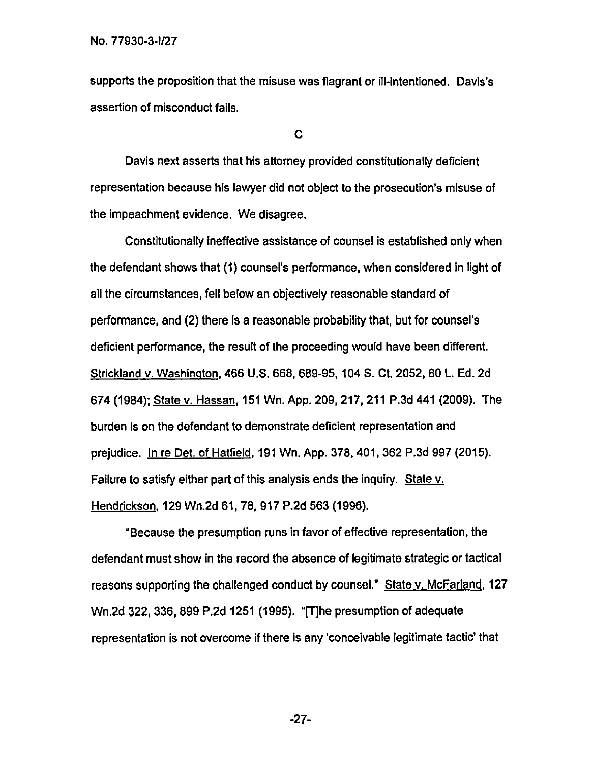supports the proposition that the misuse was flagrant or ill-intentioned. Davis's assertion of misconduct fails.

C

Davis next asserts that his attorney provided constitutionally deficient representation because his lawyer did not object to the prosecution's misuse of the impeachment evidence. We disagree.

Constitutionally ineffective assistance of counsel is established only when the defendant shows that (1) counsel's performance, when considered in light of all the circumstances, fell below an objectively reasonable standard of performance, and (2) there is a reasonable probability that, but for counsel's deficient performance, the result of the proceeding would have been different. Strickland v. Washington,466 U.S. 668, 689-95, 104 S. Ct. 2052, 80 L. Ed. 2d 674 (1984); State v. Hassan,151 Wn. App. 209, 217, 211 P.3d 441 (2009). The burden is on the defendant to demonstrate deficient representation and prejudice. In re Det. of Hatfield, 191 Wn. App. 378, 401, 362 P.3d 997 (2015). Failure to satisfy either part of this analysis ends the inquiry. State v. Hendrickson, 129 Wn.2d 61, 78, 917 P.2d 563 (1996).

"Because the presumption runs in favor of effective representation, the defendant must show in the record the absence of legitimate strategic or tactical reasons supporting the challenged conduct by counsel." State v. McFarland, 127 Wn.2d 322, 336, 899 P.2d 1251 (1995). "[T]he presumption of adequate representation is not overcome if there is any 'conceivable legitimate tactic' that

-27-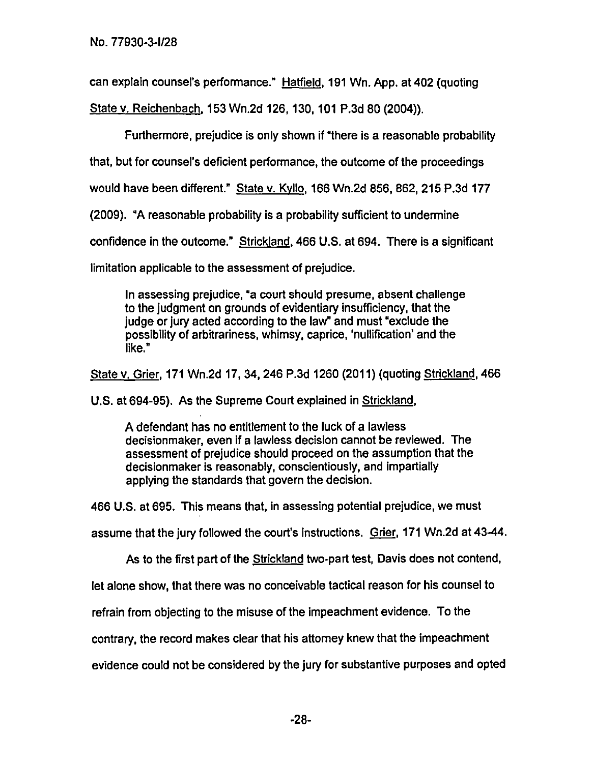can explain counsel's performance." Hatfield, 191 Wn. App. at 402 (quoting

State v. Reichenbach,153 Wn.2d 126, 130, 101 P.3d 80 (2004)).

Furthermore, prejudice is only shown if "there is a reasonable probability

that, but for counsel's deficient performance, the outcome of the proceedings

would have been different." State v. KvIlo, 166 Wn.2d 856, 862, 215 P.3d 177

(2009). "A reasonable probability is a probability sufficient to undermine

confidence in the outcome." Strickland,466 U.S. at 694. There is a significant

limitation applicable to the assessment of prejudice.

In assessing prejudice, "a court should presume, absent challenge to the judgment on grounds of evidentiary insufficiency, that the judge or jury acted according to the law" and must "exclude the possibility of arbitrariness, whimsy, caprice, 'nullification' and the like."

State v. Grier, 171 Wn.2d 17, 34, 246 P.3d 1260 (2011) (quoting Strickland,466

U.S. at 694-95). As the Supreme Court explained in Strickland,

A defendant has no entitlement to the luck of a lawless decisionnnaker, even if a lawless decision cannot be reviewed. The assessment of prejudice should proceed on the assumption that the decisionmaker is reasonably, conscientiously, and impartially applying the standards that govern the decision.

466 U.S. at 695. This means that, in assessing potential prejudice, we must

assume that the jury followed the court's Instructions. Grier, 171 Wn.2d at 43-44.

As to the first part of the Strickland two-part test, Davis does not contend,

let alone show, that there was no conceivable tactical reason for his counsel to

refrain from objecting to the misuse of the impeachment evidence. To the

contrary, the record makes clear that his attorney knew that the impeachment

evidence could not be considered by the jury for substantive purposes and opted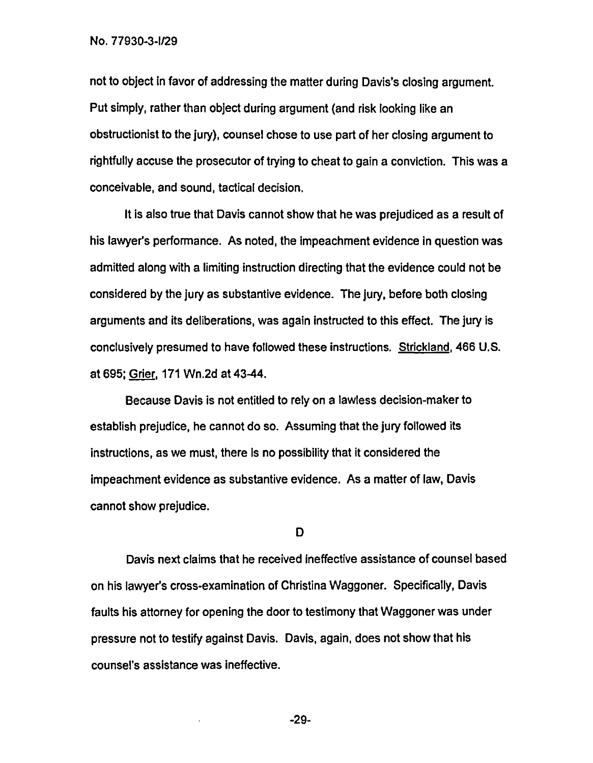not to object in favor of addressing the matter during Davis's closing argument. Put simply, rather than object during argument (and risk looking like an obstructionist to the jury), counsel chose to use part of her closing argument to rightfully accuse the prosecutor of trying to cheat to gain a conviction. This was a conceivable, and sound, tactical decision.

It is also true that Davis cannot show that he was prejudiced as a result of his lawyer's performance. As noted, the impeachment evidence in question was admitted along with a limiting instruction directing that the evidence could not be considered by the jury as substantive evidence. The jury, before both closing arguments and its deliberations, was again instructed to this effect. The jury is conclusively presumed to have followed these instructions. Strickland, 466 U.S. at 695; Grier, 171 Wn.2d at 43-44.

Because Davis is not entitled to rely on a lawless decision-maker to establish prejudice, he cannot do so. Assuming that the jury followed its instructions, as we must, there is no possibility that it considered the impeachment evidence as substantive evidence. As a matter of law, Davis cannot show prejudice.

D

Davis next claims that he received ineffective assistance of counsel based on his lawyer's cross-examination of Christina Waggoner. Specifically, Davis faults his attorney for opening the door to testimony that Waggoner was under pressure not to testify against Davis. Davis, again, does not show that his counsel's assistance was ineffective.

-29-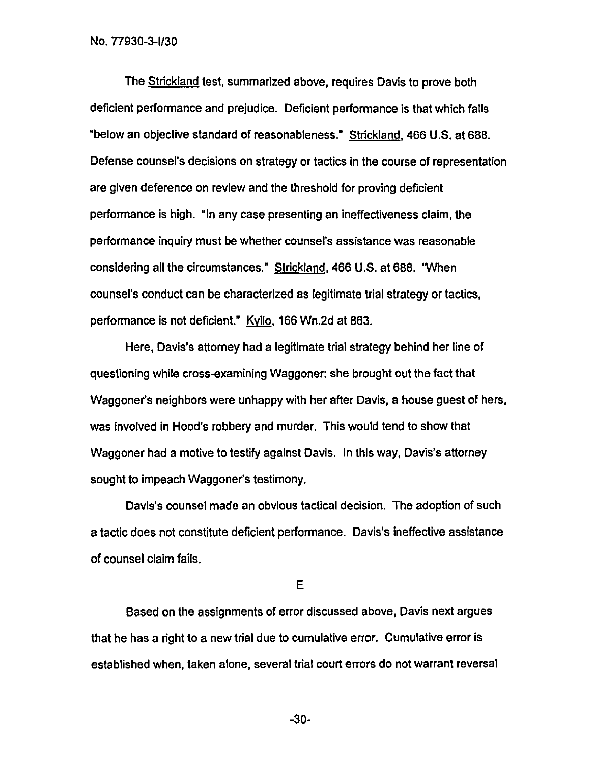The Strickland test, summarized above, requires Davis to prove both deficient performance and prejudice. Deficient performance is that which falls "below an objective standard of reasonableness." Strickland, 466 U.S. at 688. Defense counsel's decisions on strategy or tactics in the course of representation are given deference on review and the threshold for proving deficient performance is high. "In any case presenting an ineffectiveness claim, the performance inquiry must be whether counsel's assistance was reasonable considering all the circumstances." Strickland,466 U.S. at 688. "When counsel's conduct can be characterized as legitimate trial strategy or tactics, performance is not deficient." KvIlo, 166 Wn.2d at 863.

Here, Davis's attorney had a legitimate trial strategy behind her line of questioning while cross-examining Waggoner: she brought out the fact that Waggoner's neighbors were unhappy with her after Davis, a house guest of hers, was involved in Hood's robbery and murder. This would tend to show that Waggoner had a motive to testify against Davis. In this way, Davis's attorney sought to impeach Waggoner's testimony.

Davis's counsel made an obvious tactical decision. The adoption of such a tactic does not constitute deficient performance. Davis's ineffective assistance of counsel claim fails.

E

Based on the assignments of error discussed above, Davis next argues that he has a right to a new trial due to cumulative error. Cumulative error is established when, taken alone, several trial court errors do not warrant reversal

-30-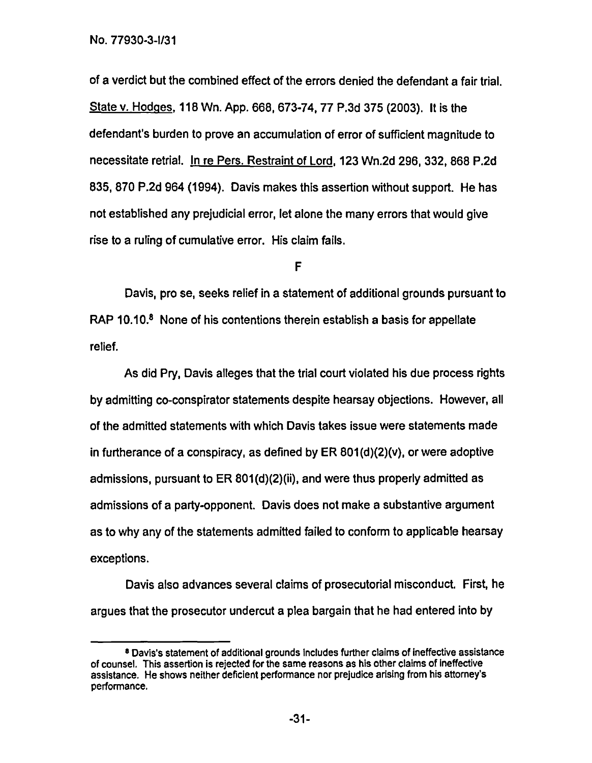of a verdict but the combined effect of the errors denied the defendant a fair trial. State v. Hodges, 118 Wn. App. 668, 673-74, 77 P.3d 375 (2003). It is the defendant's burden to prove an accumulation of error of sufficient magnitude to necessitate retrial. In re Pers. Restraint of Lord,123 Wn.2d 296, 332, 868 P.2d 835, 870 P.2d 964 (1994). Davis makes this assertion without support. He has not established any prejudicial error, let alone the many errors that would give rise to a ruling of cumulative error. His claim fails.

F

Davis, pro se, seeks relief in a statement of additional grounds pursuant to RAP 10.10.<sup>8</sup> None of his contentions therein establish a basis for appellate relief.

As did Pry, Davis alleges that the trial court violated his due process rights by admitting co-conspirator statements despite hearsay objections. However, all of the admitted statements with which Davis takes issue were statements made in furtherance of a conspiracy, as defined by ER 801(d)(2)(v), or were adoptive admissions, pursuant to ER 801(d)(2)(ii), and were thus properly admitted as admissions of a party-opponent. Davis does not make a substantive argument as to why any of the statements admitted failed to conform to applicable hearsay exceptions.

Davis also advances several claims of prosecutorial misconduct. First, he argues that the prosecutor undercut a plea bargain that he had entered into by

<sup>&#</sup>x27;Davis's statement of additional grounds Includes further claims of Ineffective assistance of counsel. This assertion is rejected for the same reasons as his other claims of Ineffective assistance. He shows neither deficient performance nor prejudice arising from his attomey's performance.